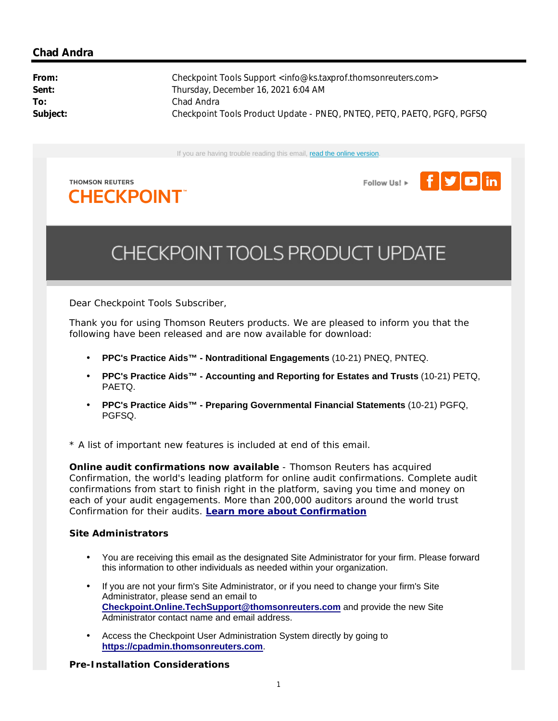# **Chad Andra**

From: Checkpoint Tools Support <info@ks.taxprof.thomsonreuters.com> Sent: Sent: Thursday, December 16, 2021 6:04 AM **To:** Chad Andra **Subject:** Checkpoint Tools Product Update - PNEQ, PNTEQ, PETQ, PAETQ, PGFQ, PGFSQ

If you are having trouble reading this email, read the online version.







# CHECKPOINT TOOLS PRODUCT UPDATE

Dear Checkpoint Tools Subscriber,

Thank you for using Thomson Reuters products. We are pleased to inform you that the following have been released and are now available for download:

- **PPC's Practice Aids™ - Nontraditional Engagements** (10-21) PNEQ, PNTEQ.
- **PPC's Practice Aids™ - Accounting and Reporting for Estates and Trusts** (10-21) PETQ, PAETQ.
- **PPC's Practice Aids™ - Preparing Governmental Financial Statements** (10-21) PGFQ, PGFSQ.

\* A list of important new features is included at end of this email.

**Online audit confirmations now available** - Thomson Reuters has acquired Confirmation, the world's leading platform for online audit confirmations. Complete audit confirmations from start to finish right in the platform, saving you time and money on each of your audit engagements. More than 200,000 auditors around the world trust Confirmation for their audits. **Learn more about Confirmation**

## **Site Administrators**

- You are receiving this email as the designated Site Administrator for your firm. Please forward this information to other individuals as needed within your organization.
- If you are not your firm's Site Administrator, or if you need to change your firm's Site Administrator, please send an email to **Checkpoint.Online.TechSupport@thomsonreuters.com** and provide the new Site Administrator contact name and email address.
- Access the Checkpoint User Administration System directly by going to **https://cpadmin.thomsonreuters.com**.

## **Pre-Installation Considerations**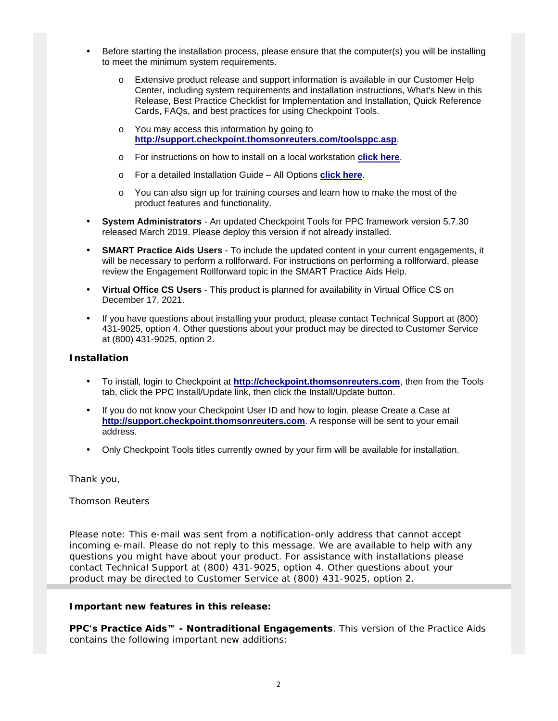- Before starting the installation process, please ensure that the computer(s) you will be installing to meet the minimum system requirements.
	- o Extensive product release and support information is available in our Customer Help Center, including system requirements and installation instructions, What's New in this Release, Best Practice Checklist for Implementation and Installation, Quick Reference Cards, FAQs, and best practices for using Checkpoint Tools.
	- o You may access this information by going to **http://support.checkpoint.thomsonreuters.com/toolsppc.asp**.
	- o For instructions on how to install on a local workstation **click here**.
	- o For a detailed Installation Guide All Options **click here**.
	- o You can also sign up for training courses and learn how to make the most of the product features and functionality.
- **System Administrators** An updated Checkpoint Tools for PPC framework version 5.7.30 released March 2019. Please deploy this version if not already installed.
- **SMART Practice Aids Users** To include the updated content in your current engagements, it will be necessary to perform a rollforward. For instructions on performing a rollforward, please review the Engagement Rollforward topic in the SMART Practice Aids Help.
- **Virtual Office CS Users** This product is planned for availability in Virtual Office CS on December 17, 2021.
- If you have questions about installing your product, please contact Technical Support at (800) 431-9025, option 4. Other questions about your product may be directed to Customer Service at (800) 431-9025, option 2.

#### **Installation**

- To install, login to Checkpoint at **http://checkpoint.thomsonreuters.com**, then from the Tools tab, click the PPC Install/Update link, then click the Install/Update button.
- If you do not know your Checkpoint User ID and how to login, please Create a Case at **http://support.checkpoint.thomsonreuters.com**. A response will be sent to your email address.
- Only Checkpoint Tools titles currently owned by your firm will be available for installation.

Thank you,

Thomson Reuters

*Please note: This e-mail was sent from a notification-only address that cannot accept incoming e-mail. Please do not reply to this message. We are available to help with any questions you might have about your product. For assistance with installations please contact Technical Support at (800) 431-9025, option 4. Other questions about your product may be directed to Customer Service at (800) 431-9025, option 2.*

#### **Important new features in this release:**

*PPC's Practice Aids™ - Nontraditional Engagements*. This version of the Practice Aids contains the following important new additions: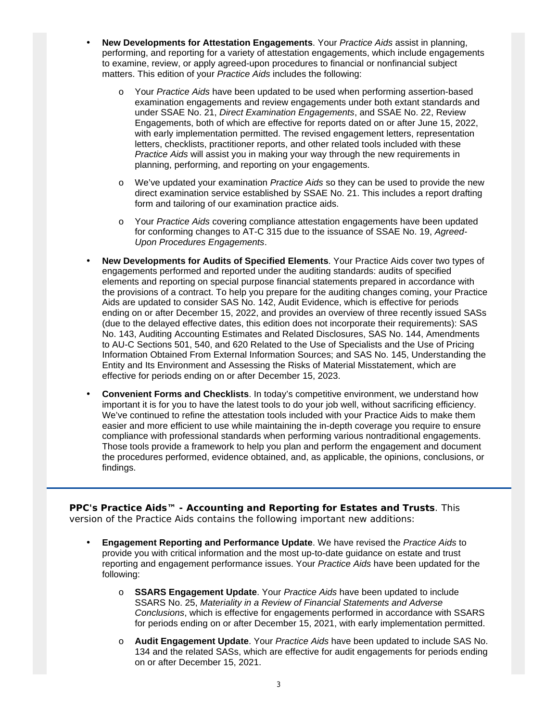- **New Developments for Attestation Engagements**. Your *Practice Aids* assist in planning, performing, and reporting for a variety of attestation engagements, which include engagements to examine, review, or apply agreed-upon procedures to financial or nonfinancial subject matters. This edition of your *Practice Aids* includes the following:
	- o Your *Practice Aids* have been updated to be used when performing assertion-based examination engagements and review engagements under both extant standards and under SSAE No. 21, *Direct Examination Engagements*, and SSAE No. 22, Review Engagements, both of which are effective for reports dated on or after June 15, 2022, with early implementation permitted. The revised engagement letters, representation letters, checklists, practitioner reports, and other related tools included with these *Practice Aids* will assist you in making your way through the new requirements in planning, performing, and reporting on your engagements.
	- o We've updated your examination *Practice Aids* so they can be used to provide the new direct examination service established by SSAE No. 21. This includes a report drafting form and tailoring of our examination practice aids.
	- o Your *Practice Aids* covering compliance attestation engagements have been updated for conforming changes to AT-C 315 due to the issuance of SSAE No. 19, *Agreed-Upon Procedures Engagements*.
- **New Developments for Audits of Specified Elements**. Your Practice Aids cover two types of engagements performed and reported under the auditing standards: audits of specified elements and reporting on special purpose financial statements prepared in accordance with the provisions of a contract. To help you prepare for the auditing changes coming, your Practice Aids are updated to consider SAS No. 142, Audit Evidence, which is effective for periods ending on or after December 15, 2022, and provides an overview of three recently issued SASs (due to the delayed effective dates, this edition does not incorporate their requirements): SAS No. 143, Auditing Accounting Estimates and Related Disclosures, SAS No. 144, Amendments to AU-C Sections 501, 540, and 620 Related to the Use of Specialists and the Use of Pricing Information Obtained From External Information Sources; and SAS No. 145, Understanding the Entity and Its Environment and Assessing the Risks of Material Misstatement, which are effective for periods ending on or after December 15, 2023.
- **Convenient Forms and Checklists**. In today's competitive environment, we understand how important it is for you to have the latest tools to do your job well, without sacrificing efficiency. We've continued to refine the attestation tools included with your Practice Aids to make them easier and more efficient to use while maintaining the in-depth coverage you require to ensure compliance with professional standards when performing various nontraditional engagements. Those tools provide a framework to help you plan and perform the engagement and document the procedures performed, evidence obtained, and, as applicable, the opinions, conclusions, or findings.

*PPC's Practice Aids™ - Accounting and Reporting for Estates and Trusts*. This version of the Practice Aids contains the following important new additions:

- **Engagement Reporting and Performance Update**. We have revised the *Practice Aids* to provide you with critical information and the most up-to-date guidance on estate and trust reporting and engagement performance issues. Your *Practice Aids* have been updated for the following:
	- o **SSARS Engagement Update**. Your *Practice Aids* have been updated to include SSARS No. 25, *Materiality in a Review of Financial Statements and Adverse Conclusions*, which is effective for engagements performed in accordance with SSARS for periods ending on or after December 15, 2021, with early implementation permitted.
	- Audit Engagement Update. Your *Practice Aids* have been updated to include SAS No. 134 and the related SASs, which are effective for audit engagements for periods ending on or after December 15, 2021.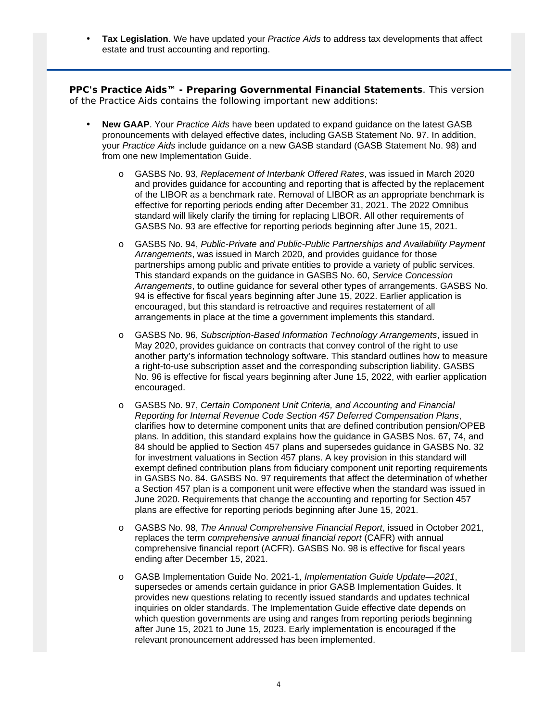• **Tax Legislation**. We have updated your *Practice Aids* to address tax developments that affect estate and trust accounting and reporting.

*PPC's Practice Aids™ - Preparing Governmental Financial Statements*. This version of the Practice Aids contains the following important new additions:

- **New GAAP**. Your *Practice Aids* have been updated to expand guidance on the latest GASB pronouncements with delayed effective dates, including GASB Statement No. 97. In addition, your *Practice Aids* include guidance on a new GASB standard (GASB Statement No. 98) and from one new Implementation Guide.
	- o GASBS No. 93, *Replacement of Interbank Offered Rates*, was issued in March 2020 and provides guidance for accounting and reporting that is affected by the replacement of the LIBOR as a benchmark rate. Removal of LIBOR as an appropriate benchmark is effective for reporting periods ending after December 31, 2021. The 2022 Omnibus standard will likely clarify the timing for replacing LIBOR. All other requirements of GASBS No. 93 are effective for reporting periods beginning after June 15, 2021.
	- o GASBS No. 94, *Public-Private and Public-Public Partnerships and Availability Payment Arrangements*, was issued in March 2020, and provides guidance for those partnerships among public and private entities to provide a variety of public services. This standard expands on the guidance in GASBS No. 60, *Service Concession Arrangements*, to outline guidance for several other types of arrangements. GASBS No. 94 is effective for fiscal years beginning after June 15, 2022. Earlier application is encouraged, but this standard is retroactive and requires restatement of all arrangements in place at the time a government implements this standard.
	- o GASBS No. 96, *Subscription-Based Information Technology Arrangements*, issued in May 2020, provides guidance on contracts that convey control of the right to use another party's information technology software. This standard outlines how to measure a right-to-use subscription asset and the corresponding subscription liability. GASBS No. 96 is effective for fiscal years beginning after June 15, 2022, with earlier application encouraged.
	- o GASBS No. 97, *Certain Component Unit Criteria, and Accounting and Financial Reporting for Internal Revenue Code Section 457 Deferred Compensation Plans*, clarifies how to determine component units that are defined contribution pension/OPEB plans. In addition, this standard explains how the guidance in GASBS Nos. 67, 74, and 84 should be applied to Section 457 plans and supersedes guidance in GASBS No. 32 for investment valuations in Section 457 plans. A key provision in this standard will exempt defined contribution plans from fiduciary component unit reporting requirements in GASBS No. 84. GASBS No. 97 requirements that affect the determination of whether a Section 457 plan is a component unit were effective when the standard was issued in June 2020. Requirements that change the accounting and reporting for Section 457 plans are effective for reporting periods beginning after June 15, 2021.
	- o GASBS No. 98, *The Annual Comprehensive Financial Report*, issued in October 2021, replaces the term *comprehensive annual financial report* (CAFR) with annual comprehensive financial report (ACFR). GASBS No. 98 is effective for fiscal years ending after December 15, 2021.
	- o GASB Implementation Guide No. 2021-1, *Implementation Guide Update—2021*, supersedes or amends certain guidance in prior GASB Implementation Guides. It provides new questions relating to recently issued standards and updates technical inquiries on older standards. The Implementation Guide effective date depends on which question governments are using and ranges from reporting periods beginning after June 15, 2021 to June 15, 2023. Early implementation is encouraged if the relevant pronouncement addressed has been implemented.